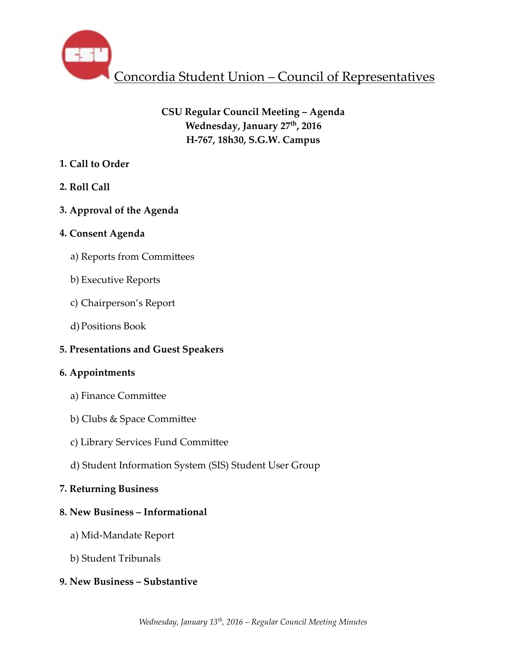

# **CSU Regular Council Meeting – Agenda Wednesday, January 27th, 2016 H-767, 18h30, S.G.W. Campus**

# **1. Call to Order**

**2. Roll Call** 

# **3. Approval of the Agenda**

## **4. Consent Agenda**

- a) Reports from Committees
- b) Executive Reports
- c) Chairperson's Report
- d)Positions Book

# **5. Presentations and Guest Speakers**

## **6. Appointments**

- a) Finance Committee
- b) Clubs & Space Committee
- c) Library Services Fund Committee
- d) Student Information System (SIS) Student User Group

# **7. Returning Business**

## **8. New Business – Informational**

- a) Mid-Mandate Report
- b) Student Tribunals

# **9. New Business – Substantive**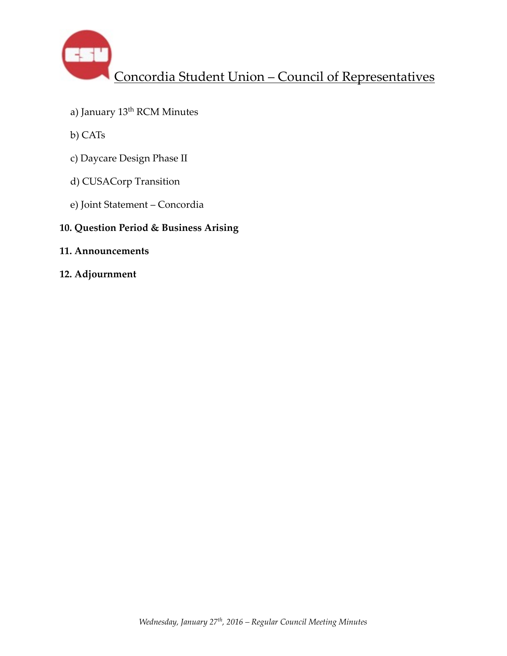

- a) January 13<sup>th</sup> RCM Minutes
- b) CATs
- c) Daycare Design Phase II
- d) CUSACorp Transition
- e) Joint Statement Concordia

## **10. Question Period & Business Arising**

- **11. Announcements**
- **12. Adjournment**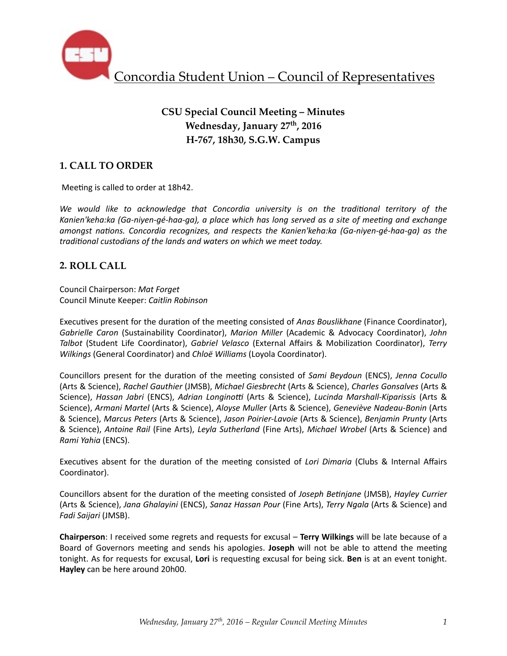

# **CSU Special Council Meeting – Minutes** Wednesday, January 27<sup>th</sup>, 2016 **H-767, 18h30, S.G.W. Campus**

## **1. CALL TO ORDER**

Meeting is called to order at 18h42.

We would like to acknowledge that Concordia university is on the traditional territory of the Kanien'keha:ka (Ga-niyen-gé-haa-ga), a place which has long served as a site of meeting and exchange *amongst nations. Concordia recognizes, and respects the Kanien'keha:ka (Ga-niyen-gé-haa-ga)* as the *traditional custodians of the lands and waters on which we meet today.* 

### **2. ROLL CALL**

Council Chairperson: *Mat Forget* Council Minute Keeper: *Caitlin Robinson*

Executives present for the duration of the meeting consisted of *Anas Bouslikhane* (Finance Coordinator), Gabrielle Caron (Sustainability Coordinator), Marion Miller (Academic & Advocacy Coordinator), John *Talbot* (Student Life Coordinator), *Gabriel Velasco* (External Affairs & Mobilization Coordinator), *Terry Wilkings* (General Coordinator) and *Chloë Williams* (Loyola Coordinator).

Councillors present for the duration of the meeting consisted of *Sami Beydoun* (ENCS), *Jenna Cocullo* (Arts & Science), *Rachel Gauthier* (JMSB), *Michael Giesbrecht* (Arts & Science), *Charles Gonsalves* (Arts & Science), *Hassan Jabri* (ENCS), *Adrian Longinotti* (Arts & Science), *Lucinda Marshall-Kiparissis* (Arts & Science), *Armani Martel* (Arts & Science), *Aloyse Muller* (Arts & Science), *Geneviève Nadeau-Bonin* (Arts & Science), *Marcus Peters* (Arts & Science), *Jason Poirier-Lavoie* (Arts & Science), *Benjamin Prunty* (Arts & Science), *Antoine Rail* (Fine Arts), *Leyla Sutherland* (Fine Arts), *Michael Wrobel* (Arts & Science) and *Rami Yahia* (ENCS). 

Executives absent for the duration of the meeting consisted of *Lori Dimaria* (Clubs & Internal Affairs Coordinator).

Councillors absent for the duration of the meeting consisted of *Joseph Betinjane* (JMSB), *Hayley Currier* (Arts & Science), Jana Ghalayini (ENCS), Sanaz Hassan Pour (Fine Arts), *Terry Ngala* (Arts & Science) and *Fadi Saijari* (JMSB). 

**Chairperson**: I received some regrets and requests for excusal – **Terry Wilkings** will be late because of a Board of Governors meeting and sends his apologies. **Joseph** will not be able to attend the meeting tonight. As for requests for excusal, Lori is requesting excusal for being sick. Ben is at an event tonight. **Hayley** can be here around 20h00.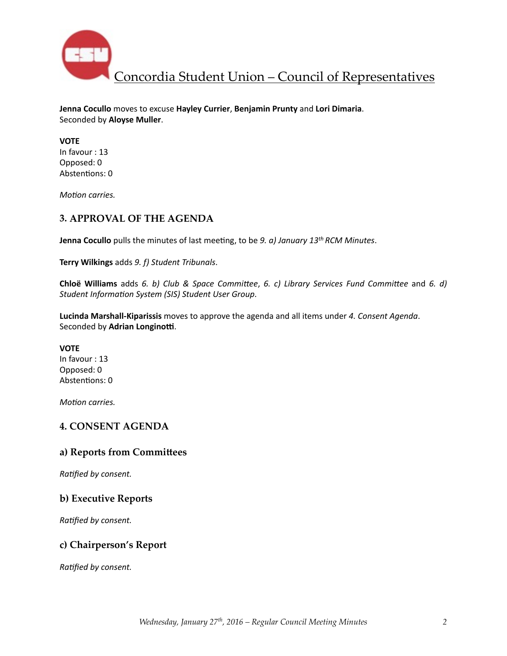

**Jenna Cocullo** moves to excuse Hayley Currier, Benjamin Prunty and Lori Dimaria. Seconded by **Aloyse Muller**. 

**VOTE** In favour : 13 Opposed: 0 Abstentions: 0

*Motion carries.* 

### **3. APPROVAL OF THE AGENDA**

**Jenna Cocullo** pulls the minutes of last meeting, to be *9. a) January* 13<sup>th</sup> RCM Minutes.

**Terry Wilkings** adds 9. f) Student Tribunals.

**Chloë Williams** adds 6. *b)* Club & Space Committee, 6. c) Library Services Fund Committee and 6. d) Student Information System (SIS) Student User Group.

Lucinda Marshall-Kiparissis moves to approve the agenda and all items under 4. Consent Agenda. Seconded by Adrian Longinotti.

**VOTE** In favour : 13 Opposed: 0 Abstentions: 0

*Motion carries.* 

#### **4. CONSENT AGENDA**

#### a) Reports from Committees

**Ratified by consent.** 

#### **b) Executive Reports**

**Ratified by consent.** 

### **c) Chairperson's Report**

**Ratified by consent.**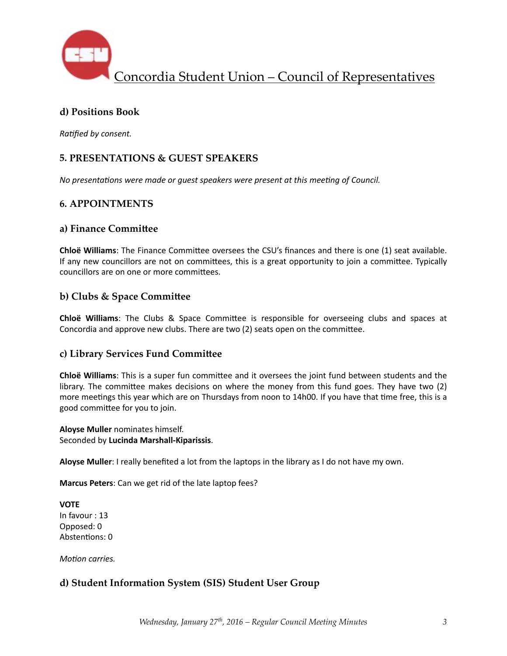

### **d) Positions Book**

**Ratified by consent.** 

## **5. PRESENTATIONS & GUEST SPEAKERS**

*No* presentations were made or guest speakers were present at this meeting of Council.

## **6. APPOINTMENTS**

#### **a) Finance Commi\_ee**

**Chloë Williams**: The Finance Committee oversees the CSU's finances and there is one (1) seat available. If any new councillors are not on committees, this is a great opportunity to join a committee. Typically councillors are on one or more committees.

### **b) Clubs & Space Committee**

**Chloë Williams**: The Clubs & Space Committee is responsible for overseeing clubs and spaces at Concordia and approve new clubs. There are two (2) seats open on the committee.

#### **c) Library Services Fund Commi\_ee**

**Chloë Williams**: This is a super fun committee and it oversees the joint fund between students and the library. The committee makes decisions on where the money from this fund goes. They have two (2) more meetings this year which are on Thursdays from noon to 14h00. If you have that time free, this is a good committee for you to join.

**Aloyse Muller** nominates himself. Seconded by **Lucinda Marshall-Kiparissis**. 

**Aloyse Muller**: I really benefited a lot from the laptops in the library as I do not have my own.

**Marcus Peters**: Can we get rid of the late laptop fees?

**VOTE** In favour : 13 Opposed: 0 Abstentions: 0

*Motion carries.* 

### **d) Student Information System (SIS) Student User Group**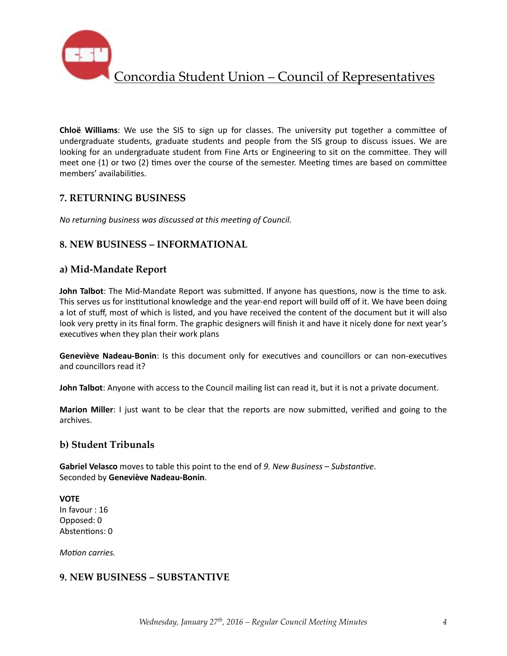

**Chloë Williams**: We use the SIS to sign up for classes. The university put together a committee of undergraduate students, graduate students and people from the SIS group to discuss issues. We are looking for an undergraduate student from Fine Arts or Engineering to sit on the committee. They will meet one  $(1)$  or two  $(2)$  times over the course of the semester. Meeting times are based on committee members' availabilities.

## **7. RETURNING BUSINESS**

*No returning business was discussed at this meeting of Council.* 

### **8. NEW BUSINESS – INFORMATIONAL**

#### **a) Mid-Mandate Report**

**John Talbot**: The Mid-Mandate Report was submitted. If anyone has questions, now is the time to ask. This serves us for institutional knowledge and the year-end report will build off of it. We have been doing a lot of stuff, most of which is listed, and you have received the content of the document but it will also look very pretty in its final form. The graphic designers will finish it and have it nicely done for next year's executives when they plan their work plans

**Geneviève Nadeau-Bonin**: Is this document only for executives and councillors or can non-executives and councillors read it?

**John Talbot**: Anyone with access to the Council mailing list can read it, but it is not a private document.

**Marion Miller**: I just want to be clear that the reports are now submitted, verified and going to the archives. 

#### **b) Student Tribunals**

**Gabriel Velasco** moves to table this point to the end of 9. New Business – Substantive. Seconded by **Geneviève Nadeau-Bonin**. 

**VOTE** In favour : 16 Opposed: 0 Abstentions: 0

*Motion carries.* 

### **9. NEW BUSINESS – SUBSTANTIVE**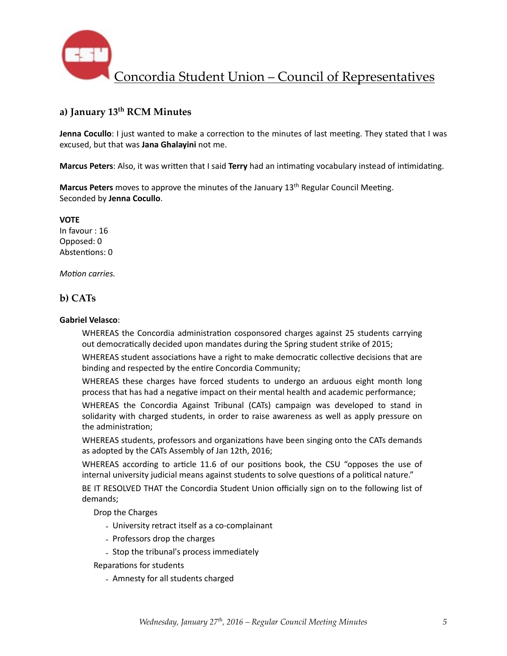

## **a) January 13th RCM Minutes**

**Jenna Cocullo**: I just wanted to make a correction to the minutes of last meeting. They stated that I was excused, but that was **Jana Ghalayini** not me.

**Marcus Peters**: Also, it was written that I said **Terry** had an intimating vocabulary instead of intimidating.

**Marcus Peters** moves to approve the minutes of the January 13<sup>th</sup> Regular Council Meeting. Seconded by **Jenna Cocullo**. 

**VOTE**  In favour : 16 Opposed: 0 Abstentions: 0

*Motion carries.* 

#### **b) CATs**

#### **Gabriel Velasco**:

WHEREAS the Concordia administration cosponsored charges against 25 students carrying out democratically decided upon mandates during the Spring student strike of 2015;

WHEREAS student associations have a right to make democratic collective decisions that are binding and respected by the entire Concordia Community;

WHEREAS these charges have forced students to undergo an arduous eight month long process that has had a negative impact on their mental health and academic performance;

WHEREAS the Concordia Against Tribunal (CATs) campaign was developed to stand in solidarity with charged students, in order to raise awareness as well as apply pressure on the administration;

WHEREAS students, professors and organizations have been singing onto the CATs demands as adopted by the CATs Assembly of Jan 12th, 2016;

WHEREAS according to article 11.6 of our positions book, the CSU "opposes the use of internal university judicial means against students to solve questions of a political nature."

BE IT RESOLVED THAT the Concordia Student Union officially sign on to the following list of demands; 

Drop the Charges

- University retract itself as a co-complainant
- Professors drop the charges
- Stop the tribunal's process immediately
- Reparations for students
	- Amnesty for all students charged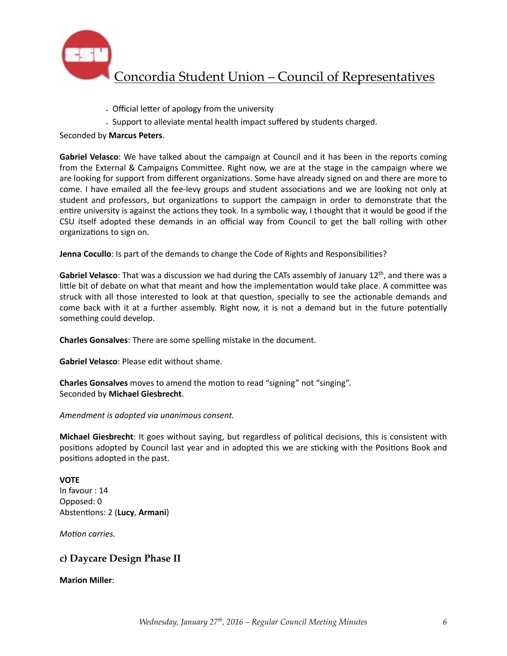

- Official letter of apology from the university
- Support to alleviate mental health impact suffered by students charged.

Seconded by **Marcus Peters**. 

**Gabriel Velasco**: We have talked about the campaign at Council and it has been in the reports coming from the External & Campaigns Committee. Right now, we are at the stage in the campaign where we are looking for support from different organizations. Some have already signed on and there are more to come. I have emailed all the fee-levy groups and student associations and we are looking not only at student and professors, but organizations to support the campaign in order to demonstrate that the entire university is against the actions they took. In a symbolic way, I thought that it would be good if the CSU itself adopted these demands in an official way from Council to get the ball rolling with other organizations to sign on.

**Jenna Cocullo**: Is part of the demands to change the Code of Rights and Responsibilities?

**Gabriel Velasco**: That was a discussion we had during the CATs assembly of January 12<sup>th</sup>, and there was a little bit of debate on what that meant and how the implementation would take place. A committee was struck with all those interested to look at that question, specially to see the actionable demands and come back with it at a further assembly. Right now, it is not a demand but in the future potentially something could develop.

**Charles Gonsalves**: There are some spelling mistake in the document.

**Gabriel Velasco:** Please edit without shame.

**Charles Gonsalves** moves to amend the motion to read "signing" not "singing". Seconded by **Michael Giesbrecht**. 

*Amendment is adopted via unanimous consent.* 

**Michael Giesbrecht**: It goes without saying, but regardless of political decisions, this is consistent with positions adopted by Council last year and in adopted this we are sticking with the Positions Book and positions adopted in the past.

#### **VOTE**

In favour : 14 Opposed: 0 Abstentions: 2 (Lucy, Armani)

*Motion carries.* 

### **c) Daycare Design Phase II**

**Marion Miller**: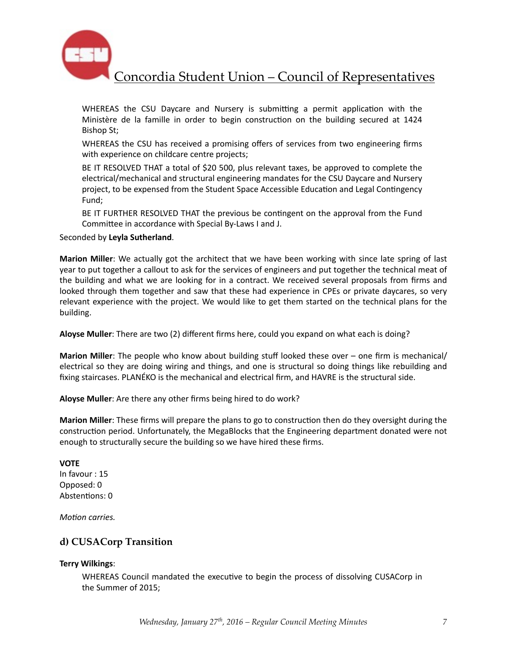

WHEREAS the CSU Daycare and Nursery is submitting a permit application with the Ministère de la famille in order to begin construction on the building secured at 1424 Bishop St;

WHEREAS the CSU has received a promising offers of services from two engineering firms with experience on childcare centre projects;

BE IT RESOLVED THAT a total of \$20 500, plus relevant taxes, be approved to complete the electrical/mechanical and structural engineering mandates for the CSU Daycare and Nursery project, to be expensed from the Student Space Accessible Education and Legal Contingency Fund;

BE IT FURTHER RESOLVED THAT the previous be contingent on the approval from the Fund Committee in accordance with Special By-Laws I and J.

Seconded by **Leyla Sutherland**. 

**Marion Miller**: We actually got the architect that we have been working with since late spring of last year to put together a callout to ask for the services of engineers and put together the technical meat of the building and what we are looking for in a contract. We received several proposals from firms and looked through them together and saw that these had experience in CPEs or private daycares, so very relevant experience with the project. We would like to get them started on the technical plans for the building. 

**Aloyse Muller**: There are two (2) different firms here, could you expand on what each is doing?

**Marion Miller**: The people who know about building stuff looked these over – one firm is mechanical/ electrical so they are doing wiring and things, and one is structural so doing things like rebuilding and fixing staircases. PLANÉKO is the mechanical and electrical firm, and HAVRE is the structural side.

Aloyse Muller: Are there any other firms being hired to do work?

**Marion Miller**: These firms will prepare the plans to go to construction then do they oversight during the construction period. Unfortunately, the MegaBlocks that the Engineering department donated were not enough to structurally secure the building so we have hired these firms.

**VOTE**  In favour : 15 Opposed: 0 Abstentions: 0

*Motion carries.* 

### **d) CUSACorp Transition**

#### **Terry Wilkings**:

WHEREAS Council mandated the executive to begin the process of dissolving CUSACorp in the Summer of 2015;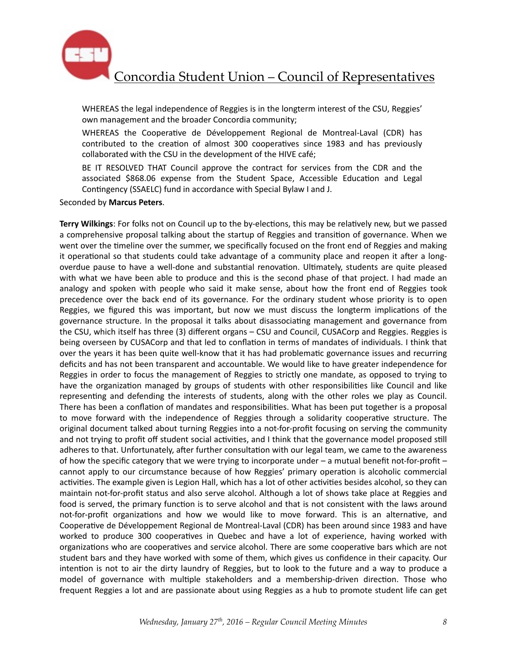

WHEREAS the legal independence of Reggies is in the longterm interest of the CSU, Reggies' own management and the broader Concordia community;

WHEREAS the Cooperative de Développement Regional de Montreal-Laval (CDR) has contributed to the creation of almost 300 cooperatives since 1983 and has previously collaborated with the CSU in the development of the HIVE café;

BE IT RESOLVED THAT Council approve the contract for services from the CDR and the associated \$868.06 expense from the Student Space, Accessible Education and Legal Contingency (SSAELC) fund in accordance with Special Bylaw I and J.

Seconded by **Marcus Peters**. 

**Terry Wilkings:** For folks not on Council up to the by-elections, this may be relatively new, but we passed a comprehensive proposal talking about the startup of Reggies and transition of governance. When we went over the timeline over the summer, we specifically focused on the front end of Reggies and making it operational so that students could take advantage of a community place and reopen it after a longoverdue pause to have a well-done and substantial renovation. Ultimately, students are quite pleased with what we have been able to produce and this is the second phase of that project. I had made an analogy and spoken with people who said it make sense, about how the front end of Reggies took precedence over the back end of its governance. For the ordinary student whose priority is to open Reggies, we figured this was important, but now we must discuss the longterm implications of the governance structure. In the proposal it talks about disassociating management and governance from the CSU, which itself has three (3) different organs – CSU and Council, CUSACorp and Reggies. Reggies is being overseen by CUSACorp and that led to conflation in terms of mandates of individuals. I think that over the years it has been quite well-know that it has had problematic governance issues and recurring deficits and has not been transparent and accountable. We would like to have greater independence for Reggies in order to focus the management of Reggies to strictly one mandate, as opposed to trying to have the organization managed by groups of students with other responsibilities like Council and like representing and defending the interests of students, along with the other roles we play as Council. There has been a conflation of mandates and responsibilities. What has been put together is a proposal to move forward with the independence of Reggies through a solidarity cooperative structure. The original document talked about turning Reggies into a not-for-profit focusing on serving the community and not trying to profit off student social activities, and I think that the governance model proposed still adheres to that. Unfortunately, after further consultation with our legal team, we came to the awareness of how the specific category that we were trying to incorporate under  $-$  a mutual benefit not-for-profit  $$ cannot apply to our circumstance because of how Reggies' primary operation is alcoholic commercial activities. The example given is Legion Hall, which has a lot of other activities besides alcohol, so they can maintain not-for-profit status and also serve alcohol. Although a lot of shows take place at Reggies and food is served, the primary function is to serve alcohol and that is not consistent with the laws around not-for-profit organizations and how we would like to move forward. This is an alternative, and Cooperative de Développement Regional de Montreal-Laval (CDR) has been around since 1983 and have worked to produce 300 cooperatives in Quebec and have a lot of experience, having worked with organizations who are cooperatives and service alcohol. There are some cooperative bars which are not student bars and they have worked with some of them, which gives us confidence in their capacity. Our intention is not to air the dirty laundry of Reggies, but to look to the future and a way to produce a model of governance with multiple stakeholders and a membership-driven direction. Those who frequent Reggies a lot and are passionate about using Reggies as a hub to promote student life can get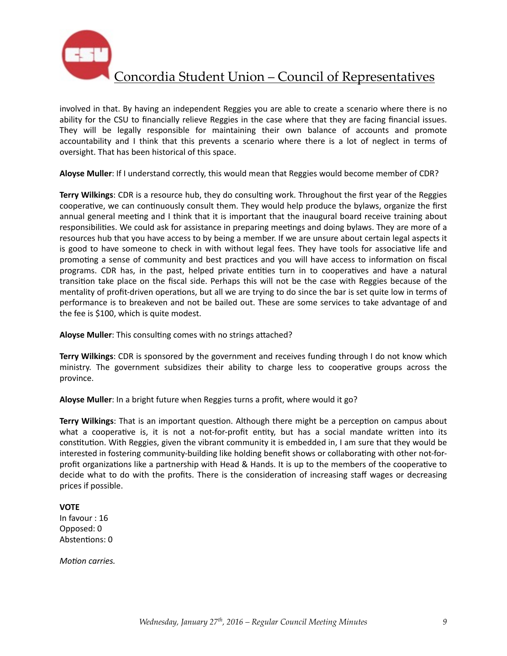

involved in that. By having an independent Reggies you are able to create a scenario where there is no ability for the CSU to financially relieve Reggies in the case where that they are facing financial issues. They will be legally responsible for maintaining their own balance of accounts and promote accountability and I think that this prevents a scenario where there is a lot of neglect in terms of oversight. That has been historical of this space.

Aloyse Muller: If I understand correctly, this would mean that Reggies would become member of CDR?

**Terry Wilkings**: CDR is a resource hub, they do consulting work. Throughout the first year of the Reggies cooperative, we can continuously consult them. They would help produce the bylaws, organize the first annual general meeting and I think that it is important that the inaugural board receive training about responsibilities. We could ask for assistance in preparing meetings and doing bylaws. They are more of a resources hub that you have access to by being a member. If we are unsure about certain legal aspects it is good to have someone to check in with without legal fees. They have tools for associative life and promoting a sense of community and best practices and you will have access to information on fiscal programs. CDR has, in the past, helped private entities turn in to cooperatives and have a natural transition take place on the fiscal side. Perhaps this will not be the case with Reggies because of the mentality of profit-driven operations, but all we are trying to do since the bar is set quite low in terms of performance is to breakeven and not be bailed out. These are some services to take advantage of and the fee is \$100, which is quite modest.

Aloyse Muller: This consulting comes with no strings attached?

**Terry Wilkings:** CDR is sponsored by the government and receives funding through I do not know which ministry. The government subsidizes their ability to charge less to cooperative groups across the province. 

Aloyse Muller: In a bright future when Reggies turns a profit, where would it go?

**Terry Wilkings**: That is an important question. Although there might be a perception on campus about what a cooperative is, it is not a not-for-profit entity, but has a social mandate written into its constitution. With Reggies, given the vibrant community it is embedded in, I am sure that they would be interested in fostering community-building like holding benefit shows or collaborating with other not-forprofit organizations like a partnership with Head & Hands. It is up to the members of the cooperative to decide what to do with the profits. There is the consideration of increasing staff wages or decreasing prices if possible.

#### **VOTE**

In favour : 16 Opposed: 0 Abstentions: 0

*Motion carries.*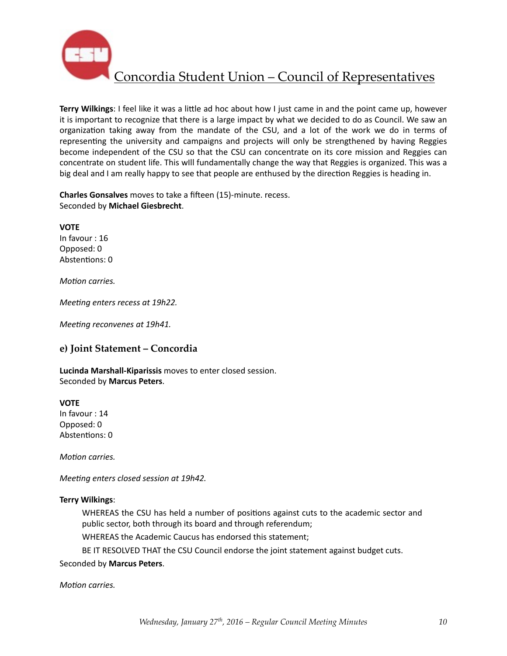

**Terry Wilkings**: I feel like it was a little ad hoc about how I just came in and the point came up, however it is important to recognize that there is a large impact by what we decided to do as Council. We saw an organization taking away from the mandate of the CSU, and a lot of the work we do in terms of representing the university and campaigns and projects will only be strengthened by having Reggies become independent of the CSU so that the CSU can concentrate on its core mission and Reggies can concentrate on student life. This wIll fundamentally change the way that Reggies is organized. This was a big deal and I am really happy to see that people are enthused by the direction Reggies is heading in.

**Charles Gonsalves** moves to take a fifteen (15)-minute. recess. Seconded by **Michael Giesbrecht**. 

**VOTE**  In favour : 16 Opposed: 0 Abstentions: 0

*Motion carries.* 

*Meeting enters recess at 19h22.* 

*Meeting reconvenes at 19h41.* 

#### **e) Joint Statement – Concordia**

Lucinda Marshall-Kiparissis moves to enter closed session. Seconded by **Marcus Peters**. 

**VOTE** 

In favour : 14 Opposed: 0 Abstentions: 0

*Motion carries.* 

*Meeting enters closed session at 19h42.* 

#### **Terry Wilkings**:

WHEREAS the CSU has held a number of positions against cuts to the academic sector and public sector, both through its board and through referendum;

WHEREAS the Academic Caucus has endorsed this statement;

BE IT RESOLVED THAT the CSU Council endorse the joint statement against budget cuts.

#### Seconded by **Marcus Peters**.

*Motion carries.*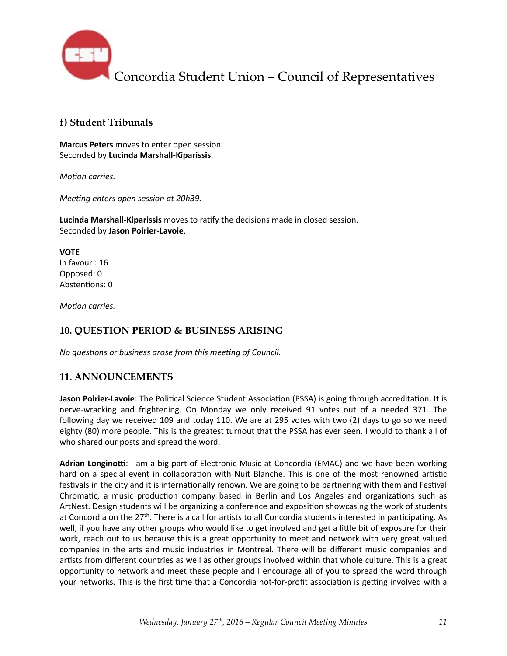

## **f) Student Tribunals**

**Marcus Peters** moves to enter open session. Seconded by **Lucinda Marshall-Kiparissis**. 

*Motion carries.* 

*Meeting enters open session at 20h39.* 

**Lucinda Marshall-Kiparissis** moves to ratify the decisions made in closed session. Seconded by **Jason Poirier-Lavoie**. 

**VOTE**  In favour : 16 Opposed: 0 Abstentions: 0

*Motion carries.* 

## **10. QUESTION PERIOD & BUSINESS ARISING**

*No questions or business arose from this meeting of Council.* 

## **11. ANNOUNCEMENTS**

Jason Poirier-Lavoie: The Political Science Student Association (PSSA) is going through accreditation. It is nerve-wracking and frightening. On Monday we only received 91 votes out of a needed 371. The following day we received 109 and today 110. We are at 295 votes with two (2) days to go so we need eighty (80) more people. This is the greatest turnout that the PSSA has ever seen. I would to thank all of who shared our posts and spread the word.

Adrian Longinotti: I am a big part of Electronic Music at Concordia (EMAC) and we have been working hard on a special event in collaboration with Nuit Blanche. This is one of the most renowned artistic festivals in the city and it is internationally renown. We are going to be partnering with them and Festival Chromatic, a music production company based in Berlin and Los Angeles and organizations such as ArtNest. Design students will be organizing a conference and exposition showcasing the work of students at Concordia on the 27<sup>th</sup>. There is a call for artists to all Concordia students interested in participating. As well, if you have any other groups who would like to get involved and get a little bit of exposure for their work, reach out to us because this is a great opportunity to meet and network with very great valued companies in the arts and music industries in Montreal. There will be different music companies and artists from different countries as well as other groups involved within that whole culture. This is a great opportunity to network and meet these people and I encourage all of you to spread the word through your networks. This is the first time that a Concordia not-for-profit association is getting involved with a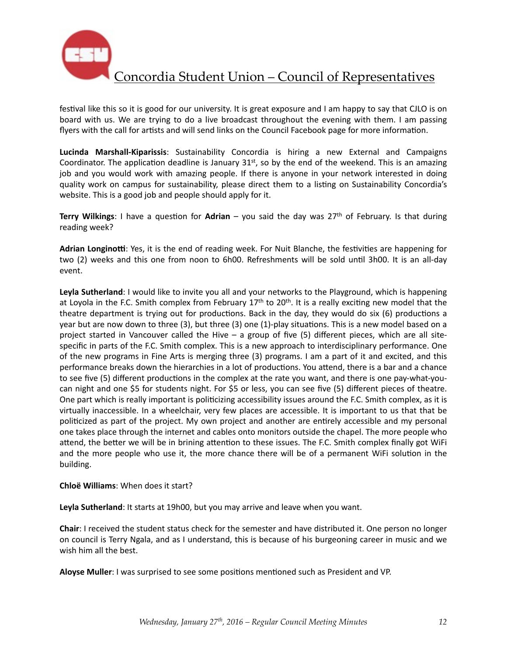

festival like this so it is good for our university. It is great exposure and I am happy to say that CJLO is on board with us. We are trying to do a live broadcast throughout the evening with them. I am passing flyers with the call for artists and will send links on the Council Facebook page for more information.

**Lucinda Marshall-Kiparissis**: Sustainability Concordia is hiring a new External and Campaigns Coordinator. The application deadline is January  $31<sup>st</sup>$ , so by the end of the weekend. This is an amazing job and you would work with amazing people. If there is anyone in your network interested in doing quality work on campus for sustainability, please direct them to a listing on Sustainability Concordia's website. This is a good job and people should apply for it.

**Terry Wilkings:** I have a question for **Adrian** – you said the day was 27<sup>th</sup> of February. Is that during reading week?

Adrian Longinotti: Yes, it is the end of reading week. For Nuit Blanche, the festivities are happening for two (2) weeks and this one from noon to 6h00. Refreshments will be sold until 3h00. It is an all-day event. 

Leyla Sutherland: I would like to invite you all and your networks to the Playground, which is happening at Loyola in the F.C. Smith complex from February  $17<sup>th</sup>$  to  $20<sup>th</sup>$ . It is a really exciting new model that the theatre department is trying out for productions. Back in the day, they would do six (6) productions a year but are now down to three  $(3)$ , but three  $(3)$  one  $(1)$ -play situations. This is a new model based on a project started in Vancouver called the Hive  $-$  a group of five  $(5)$  different pieces, which are all sitespecific in parts of the F.C. Smith complex. This is a new approach to interdisciplinary performance. One of the new programs in Fine Arts is merging three (3) programs. I am a part of it and excited, and this performance breaks down the hierarchies in a lot of productions. You attend, there is a bar and a chance to see five (5) different productions in the complex at the rate you want, and there is one pay-what-youcan night and one \$5 for students night. For \$5 or less, you can see five (5) different pieces of theatre. One part which is really important is politicizing accessibility issues around the F.C. Smith complex, as it is virtually inaccessible. In a wheelchair, very few places are accessible. It is important to us that that be politicized as part of the project. My own project and another are entirely accessible and my personal one takes place through the internet and cables onto monitors outside the chapel. The more people who attend, the better we will be in brining attention to these issues. The F.C. Smith complex finally got WiFi and the more people who use it, the more chance there will be of a permanent WiFi solution in the building. 

#### **Chloë Williams:** When does it start?

**Leyla Sutherland**: It starts at 19h00, but you may arrive and leave when you want.

**Chair**: I received the student status check for the semester and have distributed it. One person no longer on council is Terry Ngala, and as I understand, this is because of his burgeoning career in music and we wish him all the best.

**Aloyse Muller**: I was surprised to see some positions mentioned such as President and VP.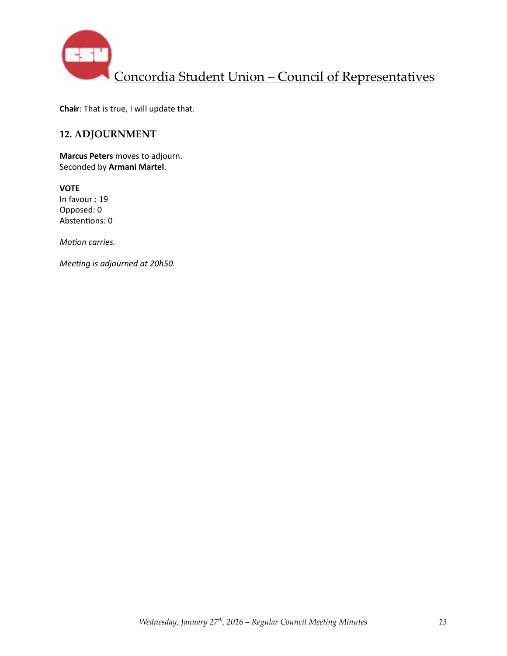

**Chair**: That is true, I will update that.

## **12. ADJOURNMENT**

**Marcus Peters** moves to adjourn. Seconded by Armani Martel.

**VOTE** In favour : 19 Opposed: 0 Abstentions: 0

*Motion carries.* 

*Meeting is adjourned at 20h50.*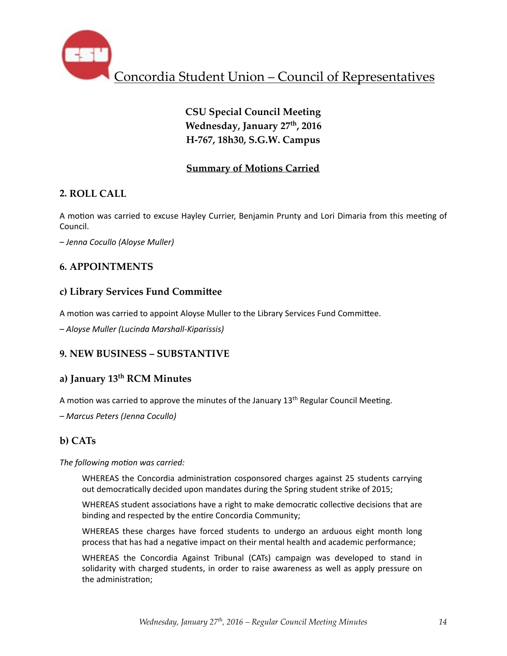

# **CSU Special Council Meeting** Wednesday, January 27<sup>th</sup>, 2016 **H-767, 18h30, S.G.W. Campus**

## **Summary of Motions Carried**

## **2. ROLL CALL**

A motion was carried to excuse Hayley Currier, Benjamin Prunty and Lori Dimaria from this meeting of Council. 

*– Jenna Cocullo (Aloyse Muller)*

## **6. APPOINTMENTS**

## **c) Library Services Fund Commi\_ee**

A motion was carried to appoint Aloyse Muller to the Library Services Fund Committee.

*– Aloyse Muller (Lucinda Marshall-Kiparissis)* 

### **9. NEW BUSINESS – SUBSTANTIVE**

## **a) January 13th RCM Minutes**

A motion was carried to approve the minutes of the January  $13<sup>th</sup>$  Regular Council Meeting.

*– Marcus Peters (Jenna Cocullo)* 

## **b) CATs**

The following motion was carried:

WHEREAS the Concordia administration cosponsored charges against 25 students carrying out democratically decided upon mandates during the Spring student strike of 2015;

WHEREAS student associations have a right to make democratic collective decisions that are binding and respected by the entire Concordia Community;

WHEREAS these charges have forced students to undergo an arduous eight month long process that has had a negative impact on their mental health and academic performance;

WHEREAS the Concordia Against Tribunal (CATs) campaign was developed to stand in solidarity with charged students, in order to raise awareness as well as apply pressure on the administration;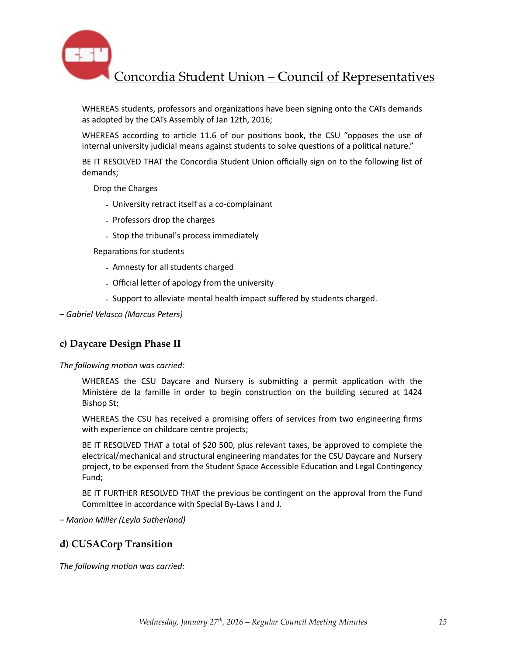

WHEREAS students, professors and organizations have been signing onto the CATs demands as adopted by the CATs Assembly of Jan 12th, 2016;

WHEREAS according to article 11.6 of our positions book, the CSU "opposes the use of internal university judicial means against students to solve questions of a political nature."

BE IT RESOLVED THAT the Concordia Student Union officially sign on to the following list of demands; 

Drop the Charges

- University retract itself as a co-complainant
- Professors drop the charges
- Stop the tribunal's process immediately

Reparations for students

- Amnesty for all students charged
- Official letter of apology from the university
- Support to alleviate mental health impact suffered by students charged.

*– Gabriel Velasco (Marcus Peters)* 

### **c) Daycare Design Phase II**

The following motion was carried:

WHEREAS the CSU Daycare and Nursery is submitting a permit application with the Ministère de la famille in order to begin construction on the building secured at 1424 Bishop St;

WHEREAS the CSU has received a promising offers of services from two engineering firms with experience on childcare centre projects;

BE IT RESOLVED THAT a total of \$20 500, plus relevant taxes, be approved to complete the electrical/mechanical and structural engineering mandates for the CSU Daycare and Nursery project, to be expensed from the Student Space Accessible Education and Legal Contingency Fund;

BE IT FURTHER RESOLVED THAT the previous be contingent on the approval from the Fund Committee in accordance with Special By-Laws I and J.

*– Marion Miller (Leyla Sutherland)* 

#### **d) CUSACorp Transition**

The following motion was carried: